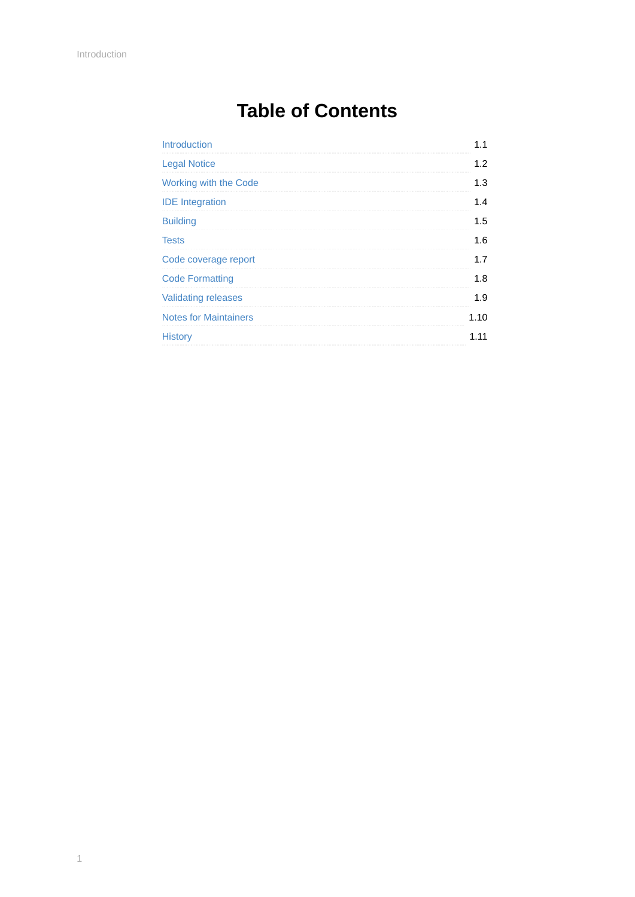# **Table of Contents**

| <b>Introduction</b>          |      |
|------------------------------|------|
| <b>Legal Notice</b>          | 1.2  |
| Working with the Code        | 1.3  |
| <b>IDE</b> Integration       | 1.4  |
| <b>Building</b>              | 1.5  |
| <b>Tests</b>                 | 1.6  |
| Code coverage report         | 17   |
| <b>Code Formatting</b>       | 1.8  |
| <b>Validating releases</b>   | 1.9  |
| <b>Notes for Maintainers</b> | 1.10 |
| <b>History</b>               | 11   |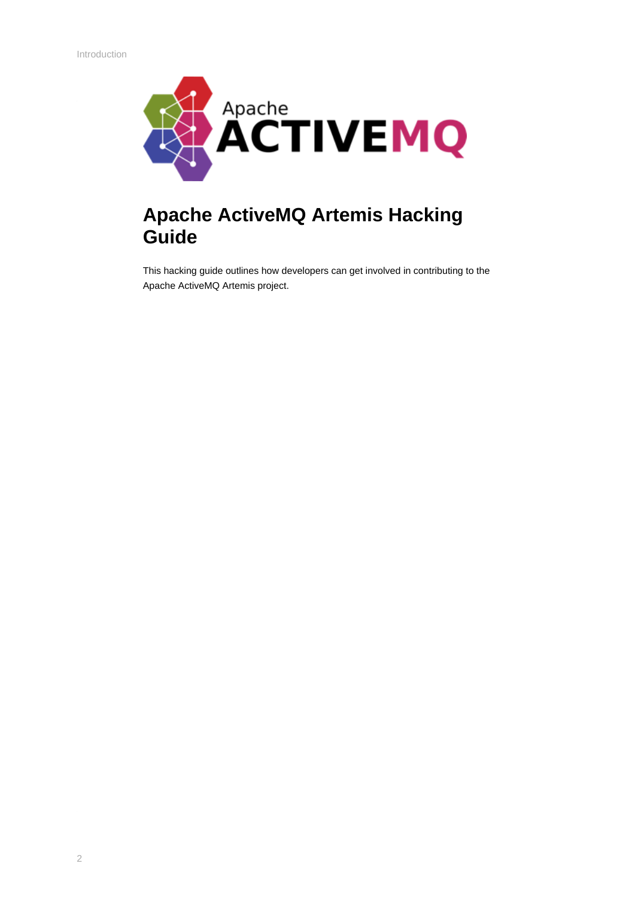<span id="page-1-0"></span>

## **Apache ActiveMQ Artemis Hacking Guide**

This hacking guide outlines how developers can get involved in contributing to the Apache ActiveMQ Artemis project.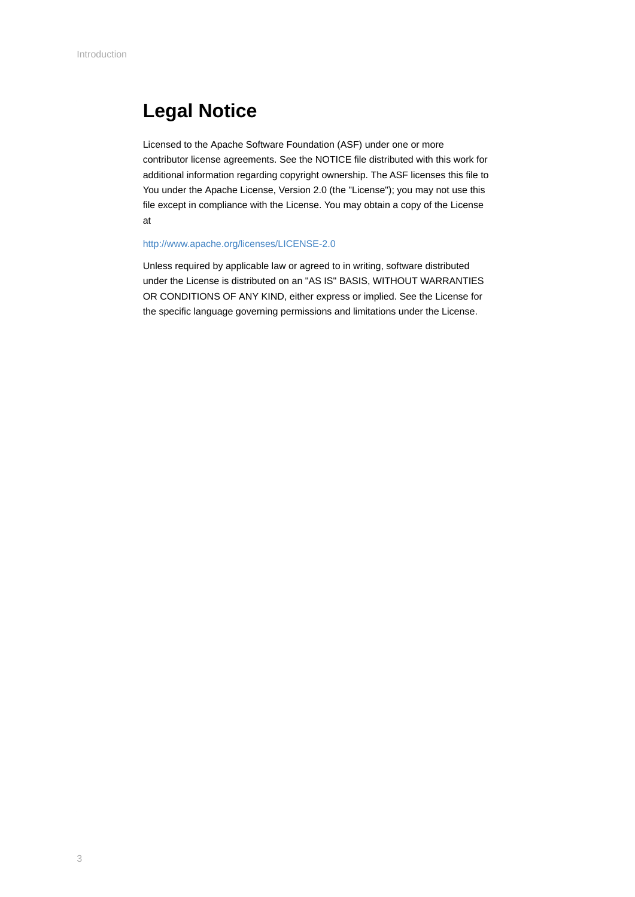## <span id="page-2-0"></span>**Legal Notice**

Licensed to the Apache Software Foundation (ASF) under one or more contributor license agreements. See the NOTICE file distributed with this work for additional information regarding copyright ownership. The ASF licenses this file to You under the Apache License, Version 2.0 (the "License"); you may not use this file except in compliance with the License. You may obtain a copy of the License at

#### <http://www.apache.org/licenses/LICENSE-2.0>

Unless required by applicable law or agreed to in writing, software distributed under the License is distributed on an "AS IS" BASIS, WITHOUT WARRANTIES OR CONDITIONS OF ANY KIND, either express or implied. See the License for the specific language governing permissions and limitations under the License.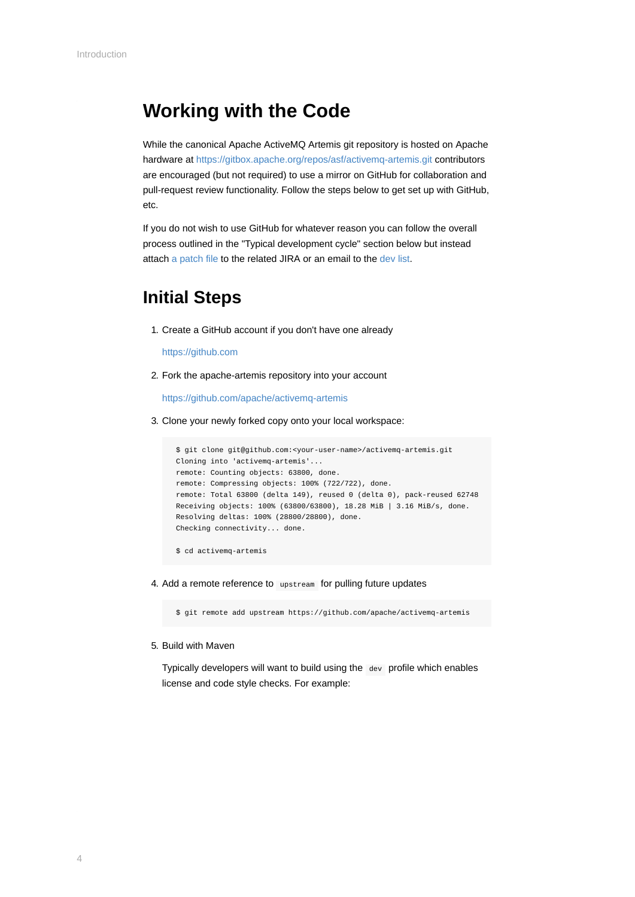## <span id="page-3-0"></span>**Working with the Code**

While the canonical Apache ActiveMQ Artemis git repository is hosted on Apache hardware at<https://gitbox.apache.org/repos/asf/activemq-artemis.git> contributors are encouraged (but not required) to use a mirror on GitHub for collaboration and pull-request review functionality. Follow the steps below to get set up with GitHub, etc.

If you do not wish to use GitHub for whatever reason you can follow the overall process outlined in the "Typical development cycle" section below but instead attach [a patch file](https://git-scm.com/docs/git-format-patch) to the related JIRA or an email to the [dev list](http://activemq.apache.org/mailing-lists.html).

### **Initial Steps**

1. Create a GitHub account if you don't have one already

[https://github.com](https://github.com/)

2. Fork the apache-artemis repository into your account

<https://github.com/apache/activemq-artemis>

3. Clone your newly forked copy onto your local workspace:

```
 $ git clone git@github.com:<your-user-name>/activemq-artemis.git
 Cloning into 'activemq-artemis'...
 remote: Counting objects: 63800, done.
 remote: Compressing objects: 100% (722/722), done.
 remote: Total 63800 (delta 149), reused 0 (delta 0), pack-reused 62748
 Receiving objects: 100% (63800/63800), 18.28 MiB | 3.16 MiB/s, done.
 Resolving deltas: 100% (28800/28800), done.
 Checking connectivity... done.
```
\$ cd activemq-artemis

4. Add a remote reference to upstream for pulling future updates

\$ git remote add upstream https://github.com/apache/activemq-artemis

5. Build with Maven

Typically developers will want to build using the dev profile which enables license and code style checks. For example: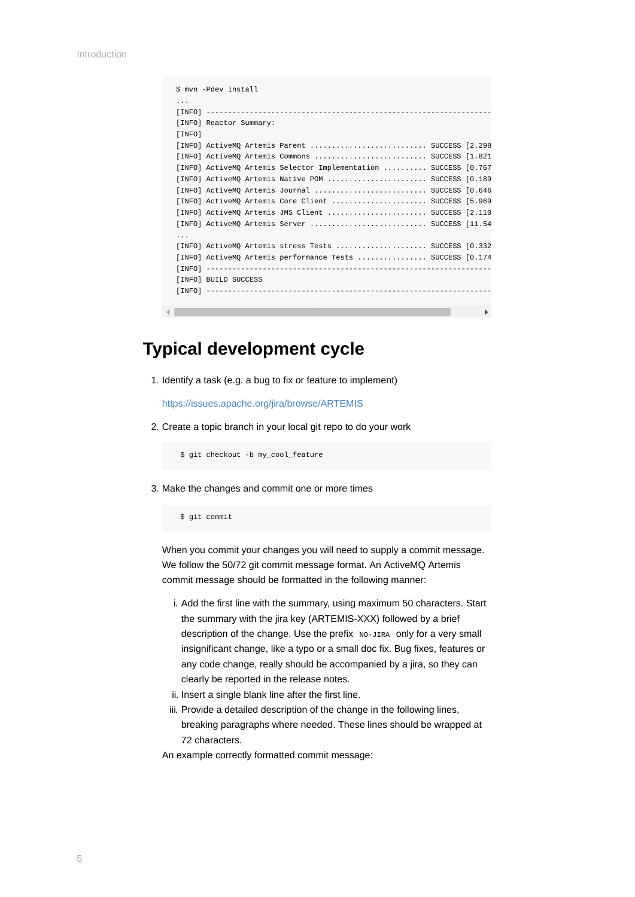```
 $ mvn -Pdev install
 ...
 [INFO] ------------------------------------------------------------------
 [INFO] Reactor Summary:
 [INFO] 
 [INFO] ActiveMQ Artemis Parent ........................... SUCCESS [2.298
 [INFO] ActiveMQ Artemis Commons .......................... SUCCESS [1.821
 [INFO] ActiveMQ Artemis Selector Implementation .......... SUCCESS [0.767
 [INFO] ActiveMQ Artemis Native POM ....................... SUCCESS [0.189
 [INFO] ActiveMQ Artemis Journal .......................... SUCCESS [0.646
 [INFO] ActiveMQ Artemis Core Client ...................... SUCCESS [5.969
 [INFO] ActiveMQ Artemis JMS Client ....................... SUCCESS [2.110
 [INFO] ActiveMQ Artemis Server ........................... SUCCESS [11.54
 ...
 [INFO] ActiveMQ Artemis stress Tests ..................... SUCCESS [0.332
 [INFO] ActiveMQ Artemis performance Tests ................ SUCCESS [0.174
 [INFO] ------------------------------------------------------------------
[INFO] BUILD SUCCESS
 [INFO] ------------------------------------------------------------------
```
### **Typical development cycle**

1. Identify a task (e.g. a bug to fix or feature to implement)

<https://issues.apache.org/jira/browse/ARTEMIS>

2. Create a topic branch in your local git repo to do your work

\$ git checkout -b my\_cool\_feature

3. Make the changes and commit one or more times

```
 $ git commit
```
When you commit your changes you will need to supply a commit message. We follow the 50/72 git commit message format. An ActiveMQ Artemis commit message should be formatted in the following manner:

- i. Add the first line with the summary, using maximum 50 characters. Start the summary with the jira key (ARTEMIS-XXX) followed by a brief description of the change. Use the prefix NO-JIRA only for a very small insignificant change, like a typo or a small doc fix. Bug fixes, features or any code change, really should be accompanied by a jira, so they can clearly be reported in the release notes.
- ii. Insert a single blank line after the first line.
- iii. Provide a detailed description of the change in the following lines, breaking paragraphs where needed. These lines should be wrapped at 72 characters.

An example correctly formatted commit message: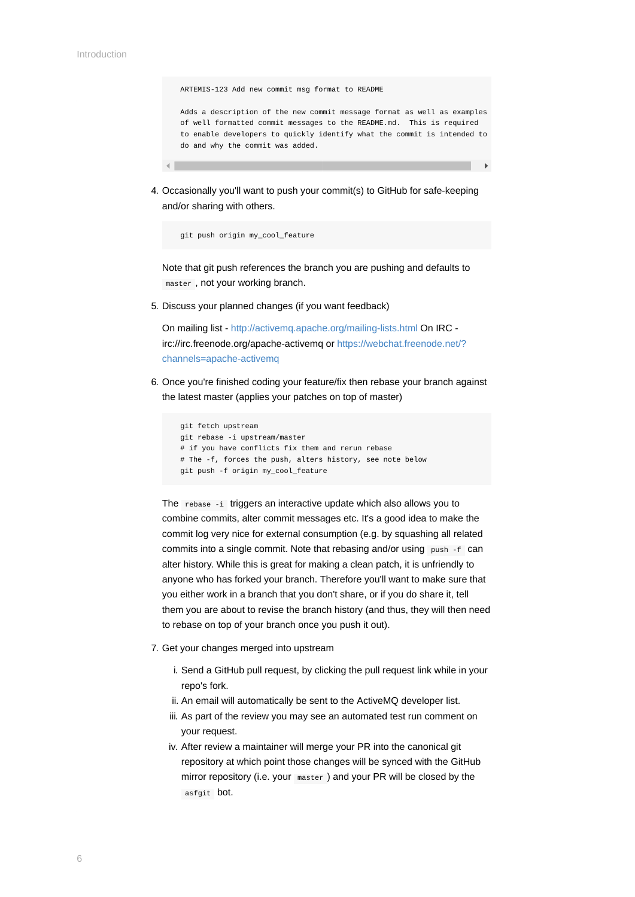ARTEMIS-123 Add new commit msg format to README

 Adds a description of the new commit message format as well as examples of well formatted commit messages to the README.md. This is required to enable developers to quickly identify what the commit is intended to do and why the commit was added.

4. Occasionally you'll want to push your commit(s) to GitHub for safe-keeping and/or sharing with others.

git push origin my\_cool\_feature

Note that git push references the branch you are pushing and defaults to master , not your working branch.

5. Discuss your planned changes (if you want feedback)

On mailing list - <http://activemq.apache.org/mailing-lists.html>On IRC [irc://irc.freenode.org/apache-activemq or https://webchat.freenode.net/?](https://webchat.freenode.net/?channels=apache-activemq) channels=apache-activemq

6. Once you're finished coding your feature/fix then rebase your branch against the latest master (applies your patches on top of master)

```
 git fetch upstream 
 git rebase -i upstream/master 
 # if you have conflicts fix them and rerun rebase 
 # The -f, forces the push, alters history, see note below 
 git push -f origin my_cool_feature
```
The rebase -i triggers an interactive update which also allows you to combine commits, alter commit messages etc. It's a good idea to make the commit log very nice for external consumption (e.g. by squashing all related commits into a single commit. Note that rebasing and/or using push -f can alter history. While this is great for making a clean patch, it is unfriendly to anyone who has forked your branch. Therefore you'll want to make sure that you either work in a branch that you don't share, or if you do share it, tell them you are about to revise the branch history (and thus, they will then need to rebase on top of your branch once you push it out).

- 7. Get your changes merged into upstream
	- i. Send a GitHub pull request, by clicking the pull request link while in your repo's fork.
	- ii. An email will automatically be sent to the ActiveMQ developer list.
	- iii. As part of the review you may see an automated test run comment on your request.
	- iv. After review a maintainer will merge your PR into the canonical git repository at which point those changes will be synced with the GitHub mirror repository (i.e. your master ) and your PR will be closed by the asfgit bot.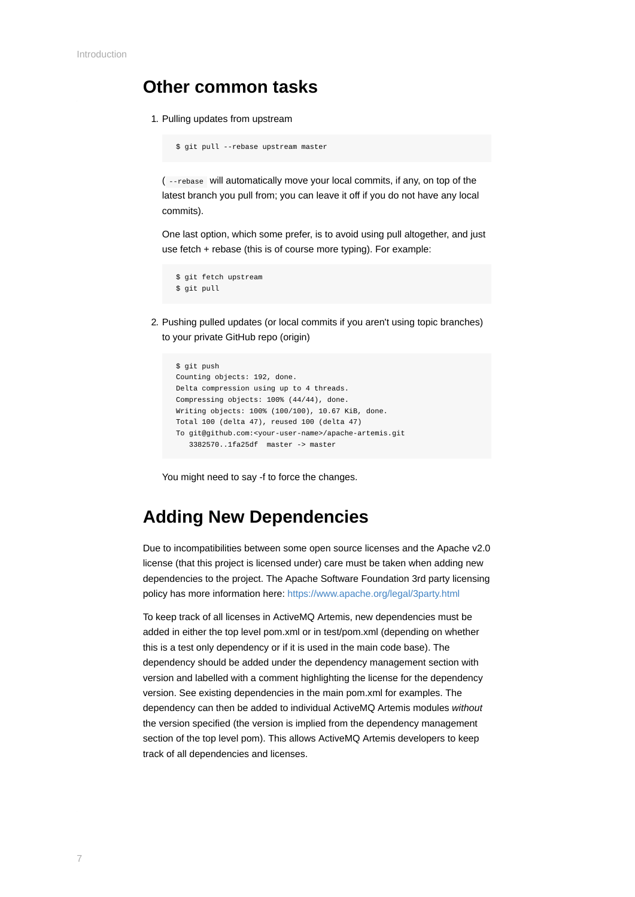#### **Other common tasks**

1. Pulling updates from upstream

```
 $ git pull --rebase upstream master
```
( --rebase will automatically move your local commits, if any, on top of the latest branch you pull from; you can leave it off if you do not have any local commits).

One last option, which some prefer, is to avoid using pull altogether, and just use fetch + rebase (this is of course more typing). For example:

```
 $ git fetch upstream
 $ git pull
```
2. Pushing pulled updates (or local commits if you aren't using topic branches) to your private GitHub repo (origin)

```
 $ git push 
 Counting objects: 192, done. 
 Delta compression using up to 4 threads. 
 Compressing objects: 100% (44/44), done. 
 Writing objects: 100% (100/100), 10.67 KiB, done. 
 Total 100 (delta 47), reused 100 (delta 47) 
 To git@github.com:<your-user-name>/apache-artemis.git 
    3382570..1fa25df master -> master
```
You might need to say -f to force the changes.

## **Adding New Dependencies**

Due to incompatibilities between some open source licenses and the Apache v2.0 license (that this project is licensed under) care must be taken when adding new dependencies to the project. The Apache Software Foundation 3rd party licensing policy has more information here:<https://www.apache.org/legal/3party.html>

To keep track of all licenses in ActiveMQ Artemis, new dependencies must be added in either the top level pom.xml or in test/pom.xml (depending on whether this is a test only dependency or if it is used in the main code base). The dependency should be added under the dependency management section with version and labelled with a comment highlighting the license for the dependency version. See existing dependencies in the main pom.xml for examples. The dependency can then be added to individual ActiveMQ Artemis modules *without* the version specified (the version is implied from the dependency management section of the top level pom). This allows ActiveMQ Artemis developers to keep track of all dependencies and licenses.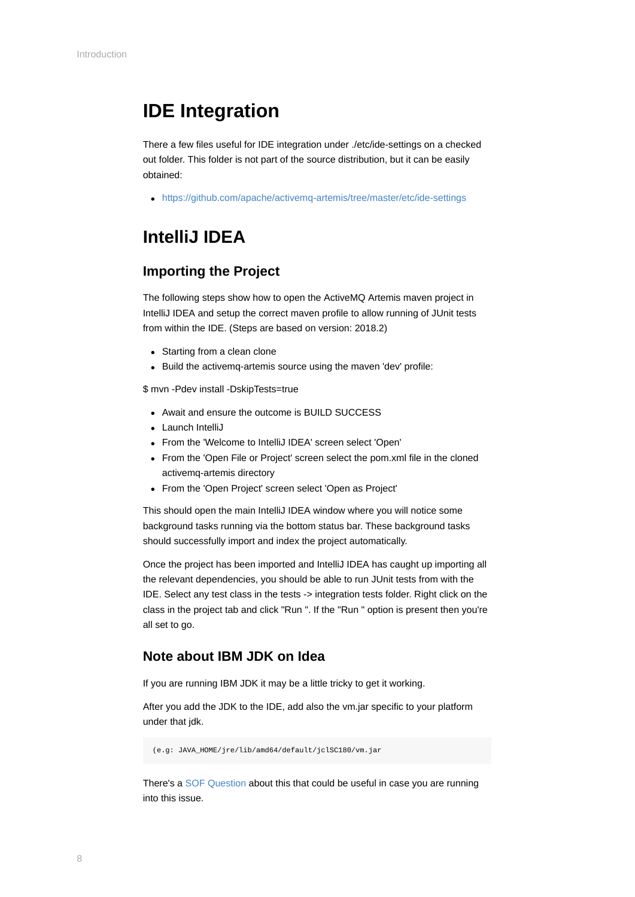## <span id="page-7-0"></span>**IDE Integration**

There a few files useful for IDE integration under ./etc/ide-settings on a checked out folder. This folder is not part of the source distribution, but it can be easily obtained:

<https://github.com/apache/activemq-artemis/tree/master/etc/ide-settings>

## **IntelliJ IDEA**

#### **Importing the Project**

The following steps show how to open the ActiveMQ Artemis maven project in IntelliJ IDEA and setup the correct maven profile to allow running of JUnit tests from within the IDE. (Steps are based on version: 2018.2)

- Starting from a clean clone
- Build the activemq-artemis source using the maven 'dev' profile:

\$ mvn -Pdev install -DskipTests=true

- Await and ensure the outcome is BUILD SUCCESS
- Launch IntelliJ
- From the 'Welcome to IntelliJ IDEA' screen select 'Open'
- From the 'Open File or Project' screen select the pom.xml file in the cloned activemq-artemis directory
- From the 'Open Project' screen select 'Open as Project'

This should open the main IntelliJ IDEA window where you will notice some background tasks running via the bottom status bar. These background tasks should successfully import and index the project automatically.

Once the project has been imported and IntelliJ IDEA has caught up importing all the relevant dependencies, you should be able to run JUnit tests from with the IDE. Select any test class in the tests -> integration tests folder. Right click on the class in the project tab and click "Run ". If the "Run " option is present then you're all set to go.

#### **Note about IBM JDK on Idea**

If you are running IBM JDK it may be a little tricky to get it working.

After you add the JDK to the IDE, add also the vm.jar specific to your platform under that jdk.

(e.g: JAVA\_HOME/jre/lib/amd64/default/jclSC180/vm.jar

There's a [SOF Question](https://stackoverflow.com/questions/27906481/can-intellij-14-be-used-to-work-with-ibm-jdk-1-7/32852361#32852361) about this that could be useful in case you are running into this issue.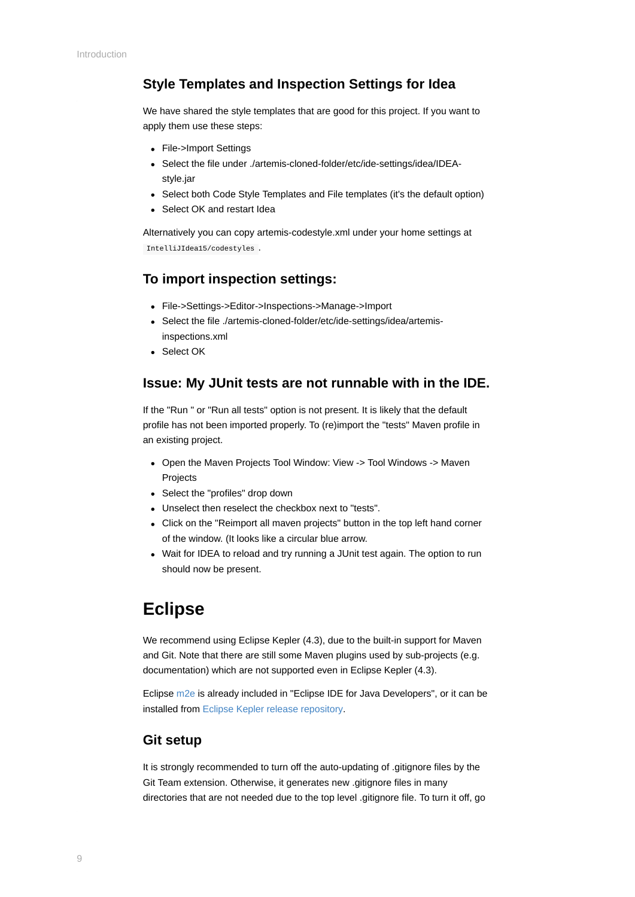#### <span id="page-8-0"></span>**Style Templates and Inspection Settings for Idea**

We have shared the style templates that are good for this project. If you want to apply them use these steps:

- File->Import Settings
- Select the file under ./artemis-cloned-folder/etc/ide-settings/idea/IDEAstyle.jar
- Select both Code Style Templates and File templates (it's the default option)
- Select OK and restart Idea

Alternatively you can copy artemis-codestyle.xml under your home settings at IntelliJIdea15/codestyles .

#### **To import inspection settings:**

- File->Settings->Editor->Inspections->Manage->Import
- Select the file ./artemis-cloned-folder/etc/ide-settings/idea/artemisinspections.xml
- Select OK

#### **Issue: My JUnit tests are not runnable with in the IDE.**

If the "Run " or "Run all tests" option is not present. It is likely that the default profile has not been imported properly. To (re)import the "tests" Maven profile in an existing project.

- Open the Maven Projects Tool Window: View -> Tool Windows -> Maven Projects
- Select the "profiles" drop down
- Unselect then reselect the checkbox next to "tests".
- Click on the "Reimport all maven projects" button in the top left hand corner of the window. (It looks like a circular blue arrow.
- Wait for IDEA to reload and try running a JUnit test again. The option to run should now be present.

### **Eclipse**

We recommend using Eclipse Kepler (4.3), due to the built-in support for Maven and Git. Note that there are still some Maven plugins used by sub-projects (e.g. documentation) which are not supported even in Eclipse Kepler (4.3).

Eclipse [m2e](https://eclipse.org/m2e/) is already included in "Eclipse IDE for Java Developers", or it can be installed from [Eclipse Kepler release repository.](http://download.eclipse.org/releases/kepler)

#### **Git setup**

It is strongly recommended to turn off the auto-updating of .gitignore files by the Git Team extension. Otherwise, it generates new .gitignore files in many directories that are not needed due to the top level .gitignore file. To turn it off, go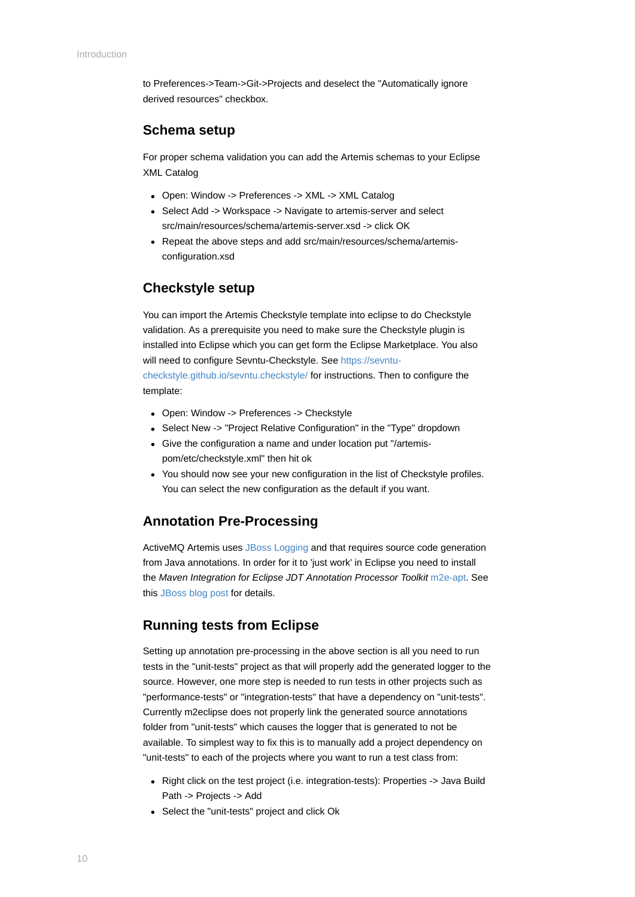to Preferences->Team->Git->Projects and deselect the "Automatically ignore derived resources" checkbox.

#### **Schema setup**

For proper schema validation you can add the Artemis schemas to your Eclipse XML Catalog

- Open: Window -> Preferences -> XML -> XML Catalog
- Select Add -> Workspace -> Navigate to artemis-server and select src/main/resources/schema/artemis-server.xsd -> click OK
- Repeat the above steps and add src/main/resources/schema/artemisconfiguration.xsd

#### **Checkstyle setup**

You can import the Artemis Checkstyle template into eclipse to do Checkstyle validation. As a prerequisite you need to make sure the Checkstyle plugin is installed into Eclipse which you can get form the Eclipse Marketplace. You also [will need to configure Sevntu-Checkstyle. See https://sevntu](https://sevntu-checkstyle.github.io/sevntu.checkstyle/)checkstyle.github.io/sevntu.checkstyle/ for instructions. Then to configure the template:

- Open: Window -> Preferences -> Checkstyle
- Select New -> "Project Relative Configuration" in the "Type" dropdown
- Give the configuration a name and under location put "/artemispom/etc/checkstyle.xml" then hit ok
- You should now see your new configuration in the list of Checkstyle profiles. You can select the new configuration as the default if you want.

#### **Annotation Pre-Processing**

ActiveMQ Artemis uses [JBoss Logging](https://developer.jboss.org/wiki/JBossLoggingTooling) and that requires source code generation from Java annotations. In order for it to 'just work' in Eclipse you need to install the *Maven Integration for Eclipse JDT Annotation Processor Toolkit* [m2e-apt.](https://github.com/jbosstools/m2e-apt) See this [JBoss blog post](https://community.jboss.org/en/tools/blog/2012/05/20/annotation-processing-support-in-m2e-or-m2e-apt-100-is-out) for details.

#### **Running tests from Eclipse**

Setting up annotation pre-processing in the above section is all you need to run tests in the "unit-tests" project as that will properly add the generated logger to the source. However, one more step is needed to run tests in other projects such as "performance-tests" or "integration-tests" that have a dependency on "unit-tests". Currently m2eclipse does not properly link the generated source annotations folder from "unit-tests" which causes the logger that is generated to not be available. To simplest way to fix this is to manually add a project dependency on "unit-tests" to each of the projects where you want to run a test class from:

- Right click on the test project (i.e. integration-tests): Properties -> Java Build Path -> Projects -> Add
- Select the "unit-tests" project and click Ok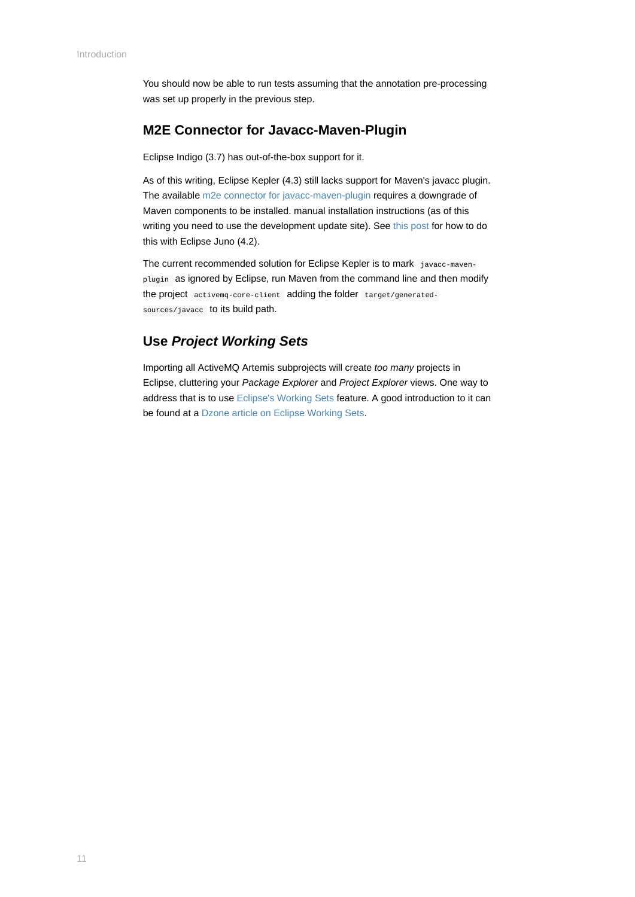You should now be able to run tests assuming that the annotation pre-processing was set up properly in the previous step.

#### **M2E Connector for Javacc-Maven-Plugin**

Eclipse Indigo (3.7) has out-of-the-box support for it.

As of this writing, Eclipse Kepler (4.3) still lacks support for Maven's javacc plugin. The available [m2e connector for javacc-maven-plugin](https://github.com/objectledge/maven-extensions) requires a downgrade of Maven components to be installed. manual installation instructions (as of this writing you need to use the development update site). See [this post](https://dev.eclipse.org/mhonarc/lists/m2e-users/msg02725.html) for how to do this with Eclipse Juno (4.2).

The current recommended solution for Eclipse Kepler is to mark javacc-mavenplugin as ignored by Eclipse, run Maven from the command line and then modify the project activemq-core-client adding the folder target/generatedsources/javacc to its build path.

#### **Use** *Project Working Sets*

Importing all ActiveMQ Artemis subprojects will create *too many* projects in Eclipse, cluttering your *Package Explorer* and *Project Explorer* views. One way to address that is to use [Eclipse's Working Sets](https://help.eclipse.org/juno/index.jsp?topic=%2Forg.eclipse.platform.doc.user%2Fconcepts%2Fcworkset.htm) feature. A good introduction to it can be found at a [Dzone article on Eclipse Working Sets](https://dzone.com/articles/categorise-projects-package).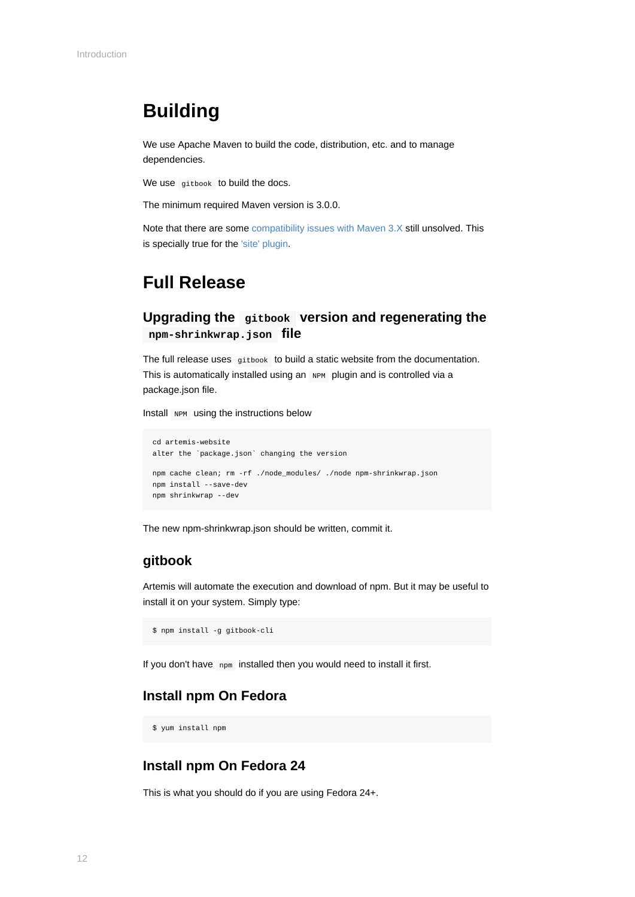## <span id="page-11-0"></span>**Building**

We use Apache Maven to build the code, distribution, etc. and to manage dependencies.

We use gitbook to build the docs.

The minimum required Maven version is 3.0.0.

Note that there are some [compatibility issues with Maven 3.X](https://cwiki.apache.org/confluence/display/MAVEN/Maven+3.x+Compatibility+Notes) still unsolved. This is specially true for the ['site' plugin](https://maven.apache.org/plugins-archives/maven-site-plugin-3.3/maven-3.html).

### **Full Release**

#### **Upgrading the gitbook version and regenerating the npm-shrinkwrap.json file**

The full release uses gitbook to build a static website from the documentation. This is automatically installed using an NPM plugin and is controlled via a package.json file.

Install NPM using the instructions below

```
cd artemis-website
alter the `package.json` changing the version
npm cache clean; rm -rf ./node_modules/ ./node npm-shrinkwrap.json
npm install --save-dev
npm shrinkwrap --dev
```
The new npm-shrinkwrap.json should be written, commit it.

#### **gitbook**

Artemis will automate the execution and download of npm. But it may be useful to install it on your system. Simply type:

\$ npm install -g gitbook-cli

If you don't have npm installed then you would need to install it first.

#### **Install npm On Fedora**

\$ yum install npm

#### **Install npm On Fedora 24**

This is what you should do if you are using Fedora 24+.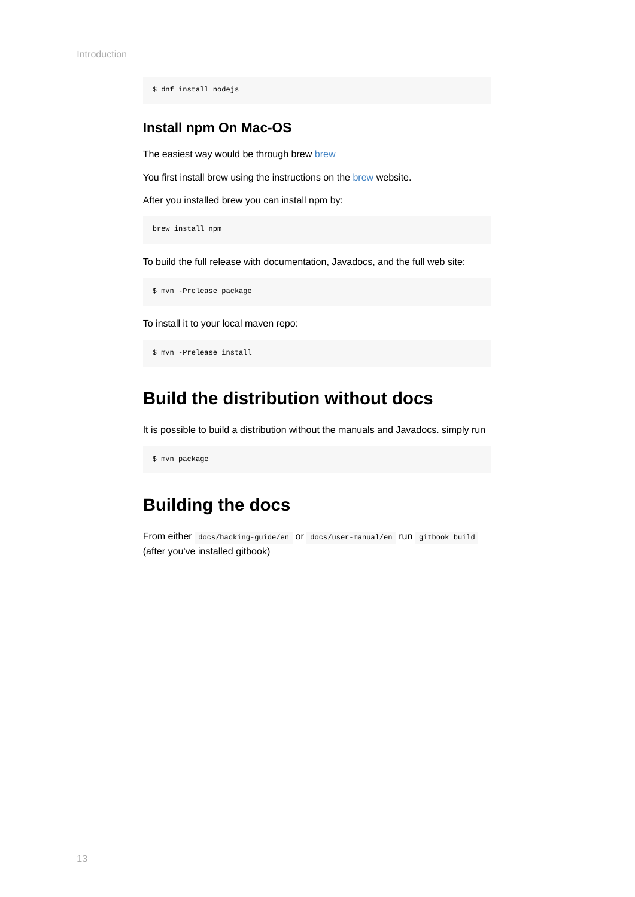\$ dnf install nodejs

#### **Install npm On Mac-OS**

The easiest way would be through [brew](https://brew.sh/) brew

You first install [brew](https://brew.sh/) using the instructions on the brew website.

After you installed brew you can install npm by:

brew install npm

To build the full release with documentation, Javadocs, and the full web site:

\$ mvn -Prelease package

To install it to your local maven repo:

```
$ mvn -Prelease install
```
### **Build the distribution without docs**

It is possible to build a distribution without the manuals and Javadocs. simply run

\$ mvn package

### **Building the docs**

From either docs/hacking-guide/en or docs/user-manual/en run gitbook build (after you've installed gitbook)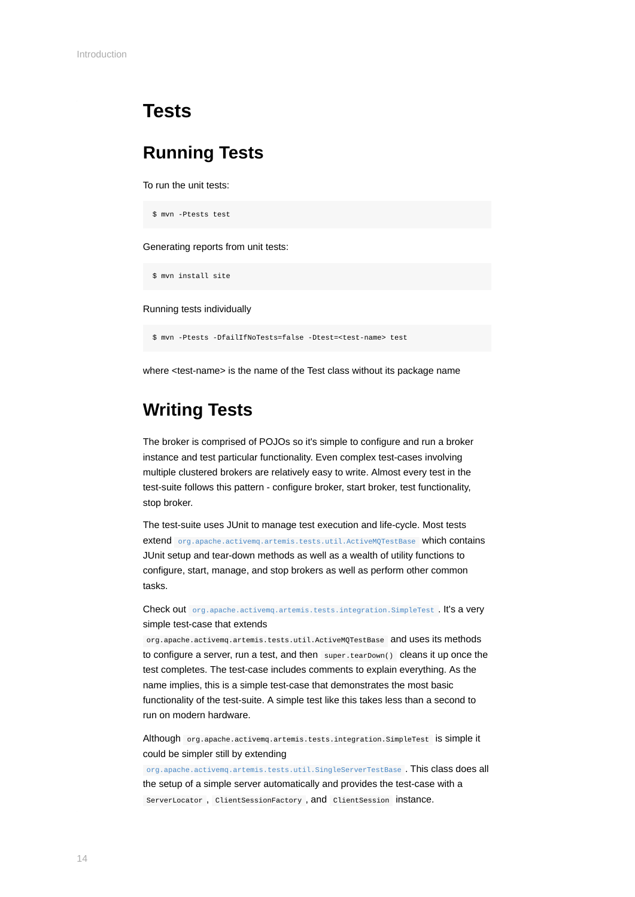### <span id="page-13-0"></span>**Tests**

### **Running Tests**

To run the unit tests:

```
$ mvn -Ptests test
```
Generating reports from unit tests:

\$ mvn install site

Running tests individually

\$ mvn -Ptests -DfailIfNoTests=false -Dtest=<test-name> test

where <test-name> is the name of the Test class without its package name

### **Writing Tests**

The broker is comprised of POJOs so it's simple to configure and run a broker instance and test particular functionality. Even complex test-cases involving multiple clustered brokers are relatively easy to write. Almost every test in the test-suite follows this pattern - configure broker, start broker, test functionality, stop broker.

The test-suite uses JUnit to manage test execution and life-cycle. Most tests extend [org.apache.activemq.artemis.tests.util.ActiveMQTestBase](https://github.com/apache/activemq-artemis/blob/master/artemis-server/src/test/java/org/apache/activemq/artemis/tests/util/ActiveMQTestBase.java) which contains JUnit setup and tear-down methods as well as a wealth of utility functions to configure, start, manage, and stop brokers as well as perform other common tasks.

Check out [org.apache.activemq.artemis.tests.integration.SimpleTest](https://github.com/apache/activemq-artemis/blob/master/tests/integration-tests/src/test/java/org/apache/activemq/artemis/tests/integration/SimpleTest.java) . It's a very simple test-case that extends

org.apache.activemq.artemis.tests.util.ActiveMQTestBase and uses its methods to configure a server, run a test, and then super.tearDown() cleans it up once the test completes. The test-case includes comments to explain everything. As the name implies, this is a simple test-case that demonstrates the most basic functionality of the test-suite. A simple test like this takes less than a second to run on modern hardware.

Although org.apache.activemq.artemis.tests.integration.SimpleTest is simple it could be simpler still by extending

[org.apache.activemq.artemis.tests.util.SingleServerTestBase](https://github.com/apache/activemq-artemis/blob/master/artemis-server/src/test/java/org/apache/activemq/artemis/tests/util/SingleServerTestBase.java) . This class does all the setup of a simple server automatically and provides the test-case with a ServerLocator, ClientSessionFactory, and ClientSession instance.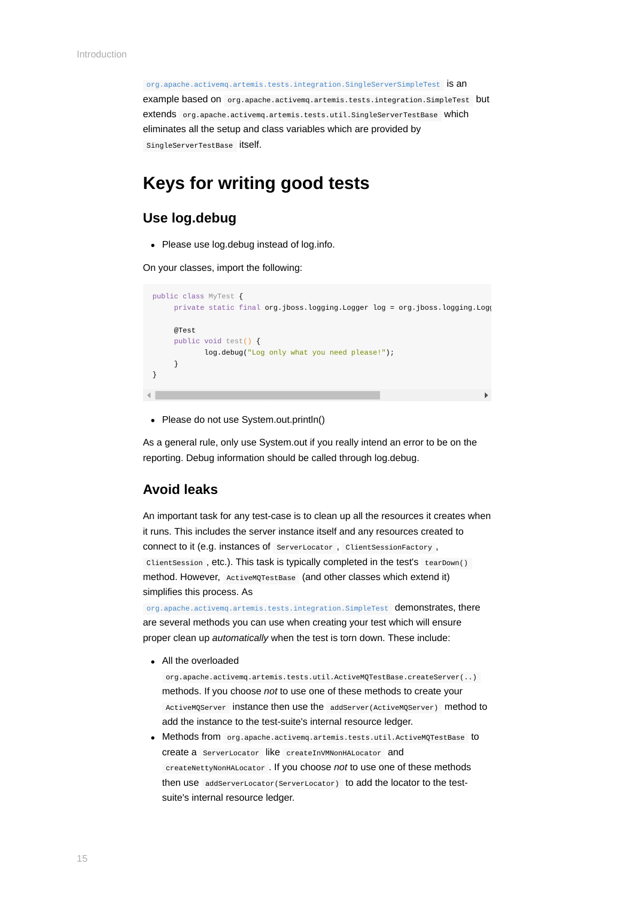[org.apache.activemq.artemis.tests.integration.SingleServerSimpleTest](https://github.com/apache/activemq-artemis/blob/master//tests/integration-tests/src/test/java/org/apache/activemq/artemis/tests/integration/SingleServerSimpleTest.java) is an example based on org.apache.activemq.artemis.tests.integration.SimpleTest but extends org.apache.activemq.artemis.tests.util.SingleServerTestBase which eliminates all the setup and class variables which are provided by SingleServerTestBase itself.

#### **Keys for writing good tests**

#### **Use log.debug**

Please use log.debug instead of log.info.

On your classes, import the following:

```
public class MyTest {
       private static final org.jboss.logging.Logger log = org.jboss.logging.Logg
       @Test
       public void test() {
               log.debug("Log only what you need please!");
        }
 }\leftarrow
```
• Please do not use System.out.println()

As a general rule, only use System.out if you really intend an error to be on the reporting. Debug information should be called through log.debug.

#### **Avoid leaks**

An important task for any test-case is to clean up all the resources it creates when it runs. This includes the server instance itself and any resources created to connect to it (e.g. instances of ServerLocator , ClientSessionFactory , ClientSession , etc.). This task is typically completed in the test's tearDown() method. However, ActiveMQTestBase (and other classes which extend it) simplifies this process. As

[org.apache.activemq.artemis.tests.integration.SimpleTest](https://github.com/apache/activemq-artemis/blob/master/tests/integration-tests/src/test/java/org/apache/activemq/artemis/tests/integration/SimpleTest.java) demonstrates, there are several methods you can use when creating your test which will ensure proper clean up *automatically* when the test is torn down. These include:

• All the overloaded

org.apache.activemq.artemis.tests.util.ActiveMQTestBase.createServer(..) methods. If you choose *not* to use one of these methods to create your ActiveMQServer instance then use the addServer(ActiveMQServer) method to add the instance to the test-suite's internal resource ledger.

Methods from org.apache.activemq.artemis.tests.util.ActiveMQTestBase to create a ServerLocator like createInVMNonHALocator and createNettyNonHALocator . If you choose *not* to use one of these methods then use addServerLocator(ServerLocator) to add the locator to the testsuite's internal resource ledger.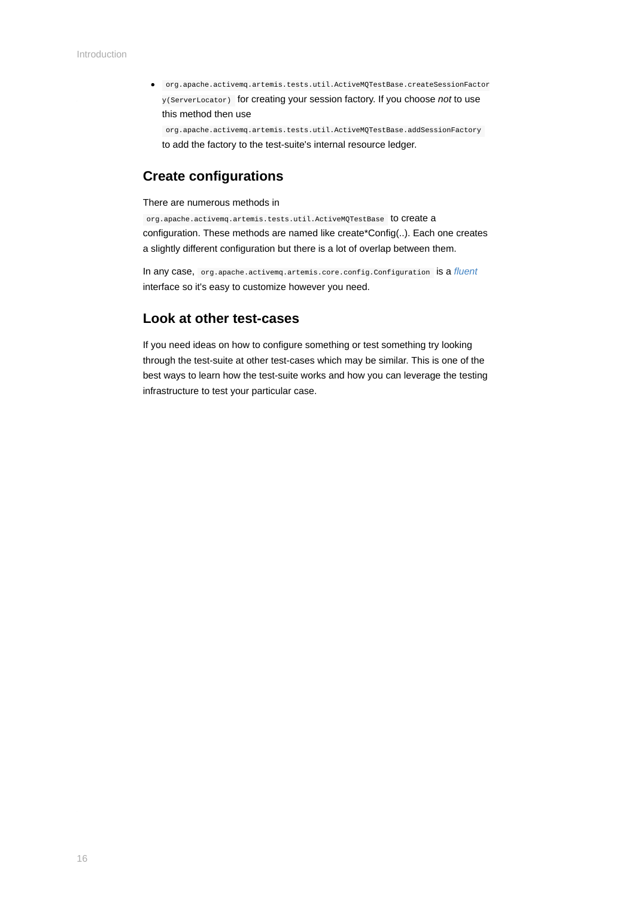org.apache.activemq.artemis.tests.util.ActiveMQTestBase.createSessionFactor y(ServerLocator) for creating your session factory. If you choose *not* to use this method then use

org.apache.activemq.artemis.tests.util.ActiveMQTestBase.addSessionFactory to add the factory to the test-suite's internal resource ledger.

#### **Create configurations**

There are numerous methods in

org.apache.activemq.artemis.tests.util.ActiveMQTestBase to create a configuration. These methods are named like create\*Config(..). Each one creates a slightly different configuration but there is a lot of overlap between them.

In any case, org.apache.activemq.artemis.core.config.Configuration is a *[fluent](https://en.wikipedia.org/wiki/Fluent_interface)* interface so it's easy to customize however you need.

#### **Look at other test-cases**

If you need ideas on how to configure something or test something try looking through the test-suite at other test-cases which may be similar. This is one of the best ways to learn how the test-suite works and how you can leverage the testing infrastructure to test your particular case.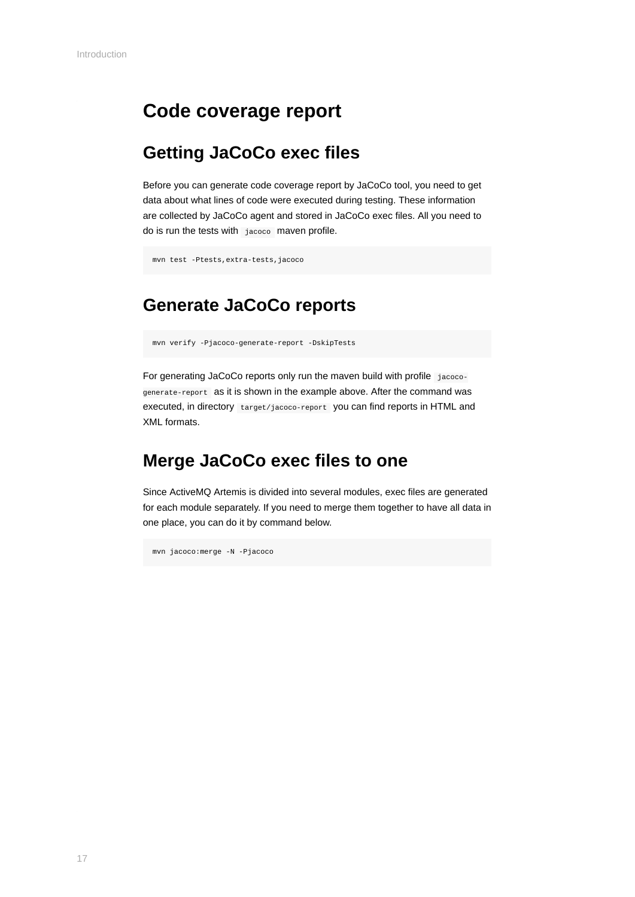### <span id="page-16-0"></span>**Code coverage report**

### **Getting JaCoCo exec files**

Before you can generate code coverage report by JaCoCo tool, you need to get data about what lines of code were executed during testing. These information are collected by JaCoCo agent and stored in JaCoCo exec files. All you need to do is run the tests with jacoco maven profile.

```
mvn test -Ptests,extra-tests,jacoco
```
## **Generate JaCoCo reports**

mvn verify -Pjacoco-generate-report -DskipTests

For generating JaCoCo reports only run the maven build with profile jacocogenerate-report as it is shown in the example above. After the command was executed, in directory target/jacoco-report you can find reports in HTML and XML formats.

### **Merge JaCoCo exec files to one**

Since ActiveMQ Artemis is divided into several modules, exec files are generated for each module separately. If you need to merge them together to have all data in one place, you can do it by command below.

mvn jacoco:merge -N -Pjacoco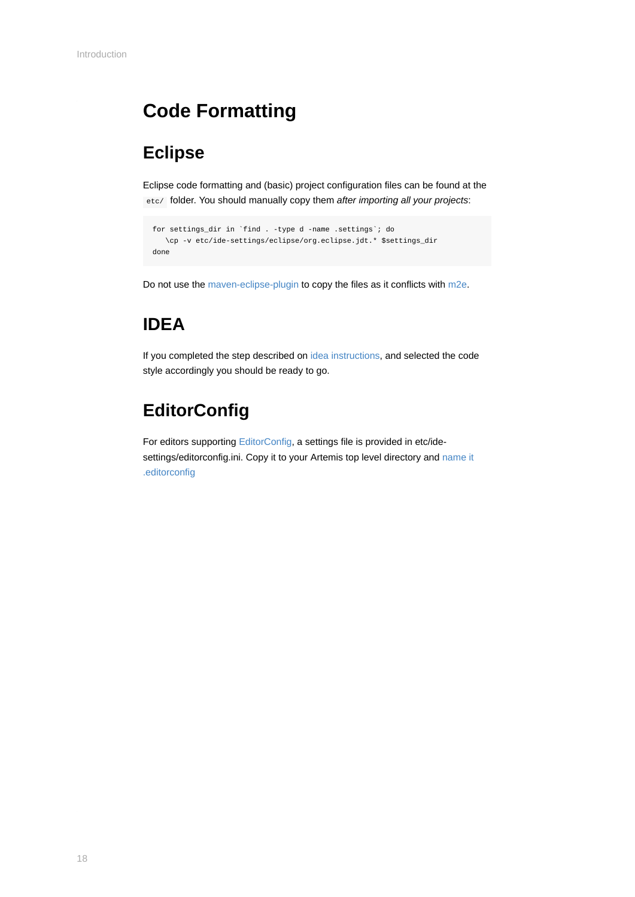## <span id="page-17-0"></span>**Code Formatting**

## **Eclipse**

Eclipse code formatting and (basic) project configuration files can be found at the etc/ folder. You should manually copy them *after importing all your projects*:

```
for settings_dir in `find . -type d -name .settings`; do
   \cp -v etc/ide-settings/eclipse/org.eclipse.jdt.* $settings_dir
done
```
Do not use the [maven-eclipse-plugin](https://maven.apache.org/plugins/maven-eclipse-plugin/) to copy the files as it conflicts with [m2e](https://eclipse.org/m2e/).

## **IDEA**

If you completed the step described on [idea instructions](#page-8-0), and selected the code style accordingly you should be ready to go.

## **EditorConfig**

For editors supporting [EditorConfig,](http://editorconfig.org/) a settings file is provided in etc/ide[settings/editorconfig.ini. Copy it to your Artemis top level directory and name it](http://editorconfig.org/#file-location) .editorconfig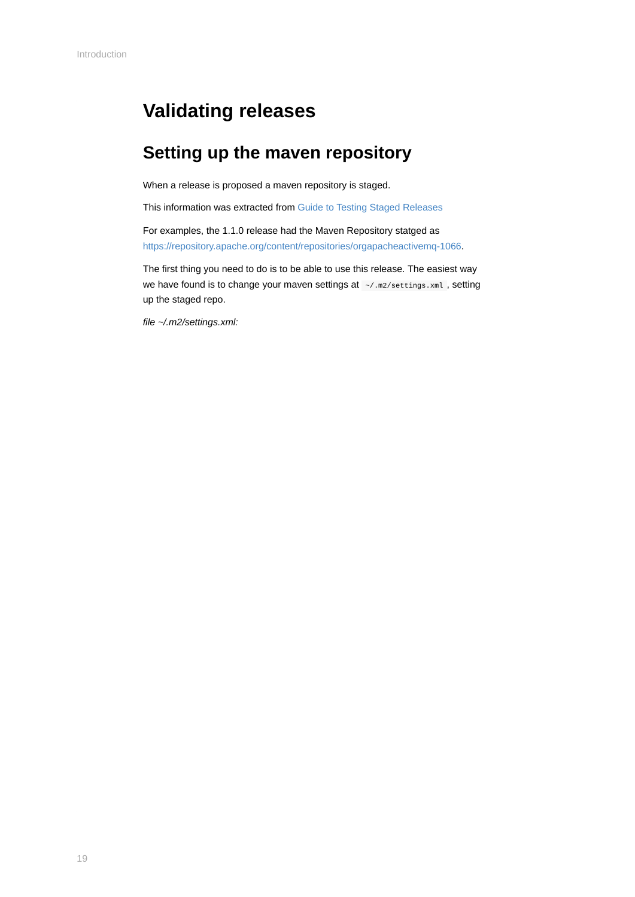## <span id="page-18-0"></span>**Validating releases**

## **Setting up the maven repository**

When a release is proposed a maven repository is staged.

This information was extracted from [Guide to Testing Staged Releases](https://maven.apache.org/guides/development/guide-testing-releases.html)

For examples, the 1.1.0 release had the Maven Repository statged as [https://repository.apache.org/content/repositories/orgapacheactivemq-1066.](https://repository.apache.org/content/repositories/orgapacheactivemq-1066)

The first thing you need to do is to be able to use this release. The easiest way we have found is to change your maven settings at  $\sim$ /.m2/settings.xml, setting up the staged repo.

*file ~/.m2/settings.xml:*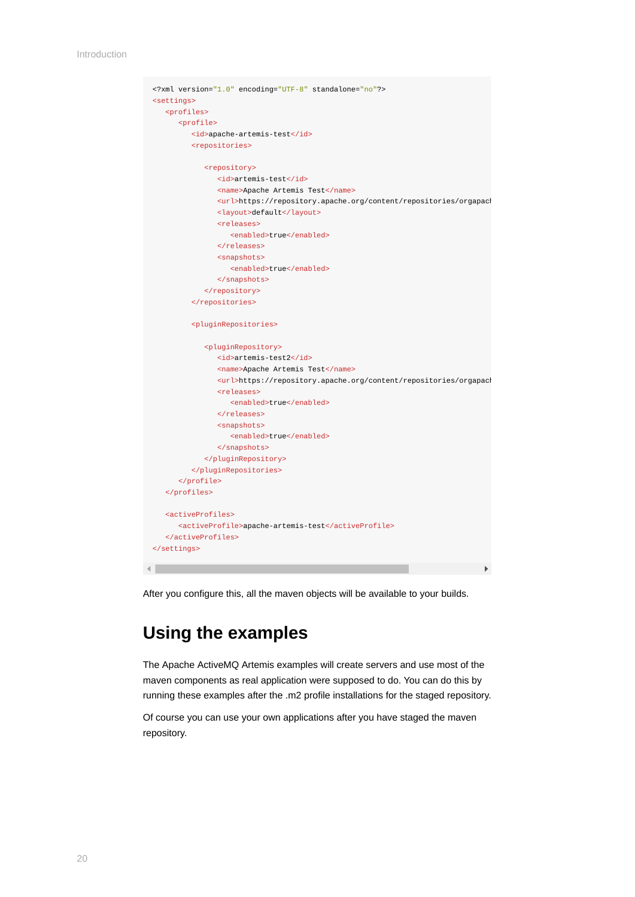```
<?xml version="1.0" encoding="UTF-8" standalone="no"?>
 <settings>
     <profiles>
         <profile>
           <id>apache-artemis-test</id>
            <repositories>
               <repository>
                  <id>artemis-test</id>
                  <name>Apache Artemis Test</name>
                 <url>https://repository.apache.org/content/repositories/orgapach
                  <layout>default</layout>
                  <releases>
                     <enabled>true</enabled>
                  </releases>
                  <snapshots>
                     <enabled>true</enabled>
                 \epsilon/snanshots>
               </repository>
            </repositories>
            <pluginRepositories>
               <pluginRepository>
                  <id>artemis-test2</id>
                  <name>Apache Artemis Test</name>
                  <url>https://repository.apache.org/content/repositories/orgapach
                  <releases>
                     <enabled>true</enabled>
                  </releases>
                  <snapshots>
                     <enabled>true</enabled>
                  </snapshots>
               </pluginRepository>
            </pluginRepositories>
         </profile>
      </profiles>
      <activeProfiles>
        <activeProfile>apache-artemis-test</activeProfile>
      </activeProfiles>
 </settings>\blacksquare
```
After you configure this, all the maven objects will be available to your builds.

### **Using the examples**

The Apache ActiveMQ Artemis examples will create servers and use most of the maven components as real application were supposed to do. You can do this by running these examples after the .m2 profile installations for the staged repository.

Of course you can use your own applications after you have staged the maven repository.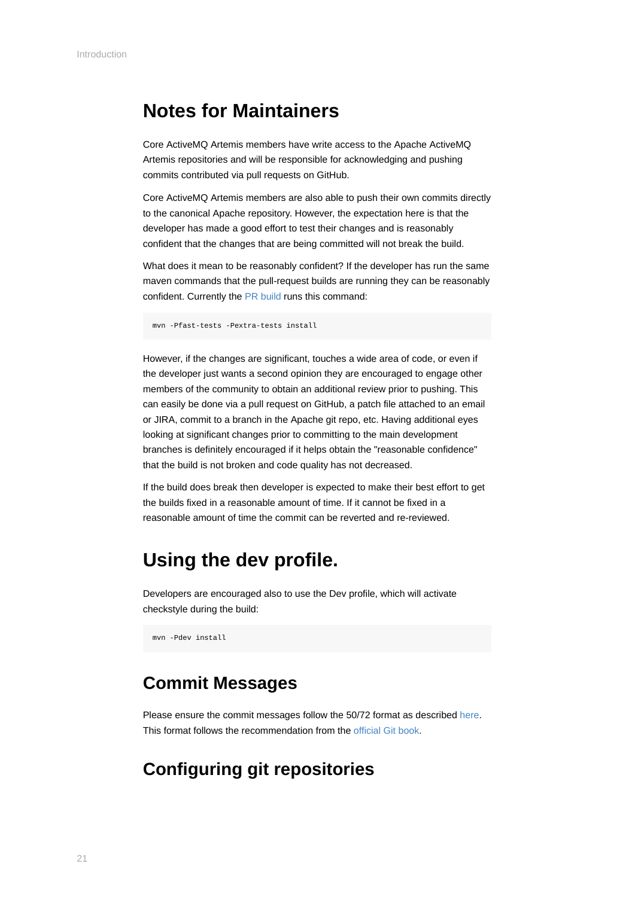### <span id="page-20-0"></span>**Notes for Maintainers**

Core ActiveMQ Artemis members have write access to the Apache ActiveMQ Artemis repositories and will be responsible for acknowledging and pushing commits contributed via pull requests on GitHub.

Core ActiveMQ Artemis members are also able to push their own commits directly to the canonical Apache repository. However, the expectation here is that the developer has made a good effort to test their changes and is reasonably confident that the changes that are being committed will not break the build.

What does it mean to be reasonably confident? If the developer has run the same maven commands that the pull-request builds are running they can be reasonably confident. Currently the [PR build](https://builds.apache.org/job/ActiveMQ-Artemis-PR-Build/) runs this command:

mvn -Pfast-tests -Pextra-tests install

However, if the changes are significant, touches a wide area of code, or even if the developer just wants a second opinion they are encouraged to engage other members of the community to obtain an additional review prior to pushing. This can easily be done via a pull request on GitHub, a patch file attached to an email or JIRA, commit to a branch in the Apache git repo, etc. Having additional eyes looking at significant changes prior to committing to the main development branches is definitely encouraged if it helps obtain the "reasonable confidence" that the build is not broken and code quality has not decreased.

If the build does break then developer is expected to make their best effort to get the builds fixed in a reasonable amount of time. If it cannot be fixed in a reasonable amount of time the commit can be reverted and re-reviewed.

## **Using the dev profile.**

Developers are encouraged also to use the Dev profile, which will activate checkstyle during the build:

mvn -Pdev install

### **Commit Messages**

Please ensure the commit messages follow the 50/72 format as described [here](#page-3-0). This format follows the recommendation from the [official Git book](https://git-scm.com/book/en/v2/Distributed-Git-Contributing-to-a-Project).

### **Configuring git repositories**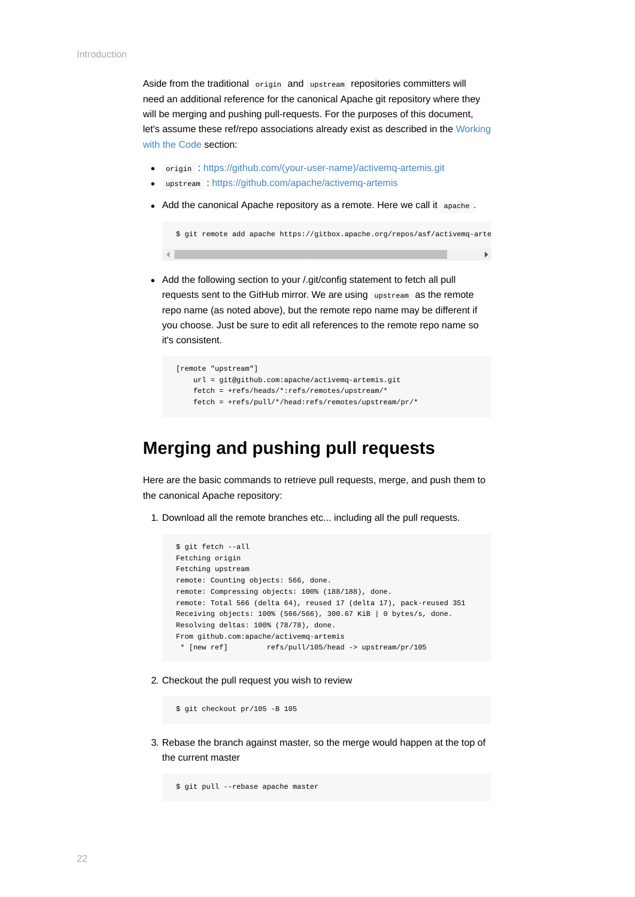$\left| \cdot \right|$ 

Aside from the traditional origin and upstream repositories committers will need an additional reference for the canonical Apache git repository where they will be merging and pushing pull-requests. For the purposes of this document, [let's assume these ref/repo associations already exist as described in the Working](#page-3-0) with the Code section:

- origin : [https://github.com/\(your-user-name\)/activemq-artemis.git](https://github.com/(your-user-name)/activemq-artemis.git)
- upstream : <https://github.com/apache/activemq-artemis>
- Add the canonical Apache repository as a remote. Here we call it apache .

\$ git remote add apache https://gitbox.apache.org/repos/asf/activemq-arte

• Add the following section to your *l*.git/config statement to fetch all pull requests sent to the GitHub mirror. We are using upstream as the remote repo name (as noted above), but the remote repo name may be different if you choose. Just be sure to edit all references to the remote repo name so it's consistent.

```
 [remote "upstream"]
    url = git@github.com:apache/activemq-artemis.git
    fetch = +refs/heads/*:refs/remotes/upstream/*
    fetch = +refs/pull/*/head:refs/remotes/upstream/pr/*
```
### **Merging and pushing pull requests**

Here are the basic commands to retrieve pull requests, merge, and push them to the canonical Apache repository:

1. Download all the remote branches etc... including all the pull requests.

```
 $ git fetch --all
 Fetching origin
 Fetching upstream
 remote: Counting objects: 566, done.
 remote: Compressing objects: 100% (188/188), done.
 remote: Total 566 (delta 64), reused 17 (delta 17), pack-reused 351
 Receiving objects: 100% (566/566), 300.67 KiB | 0 bytes/s, done.
 Resolving deltas: 100% (78/78), done.
 From github.com:apache/activemq-artemis
  * [new ref] refs/pull/105/head -> upstream/pr/105
```
2. Checkout the pull request you wish to review

\$ git checkout pr/105 -B 105

3. Rebase the branch against master, so the merge would happen at the top of the current master

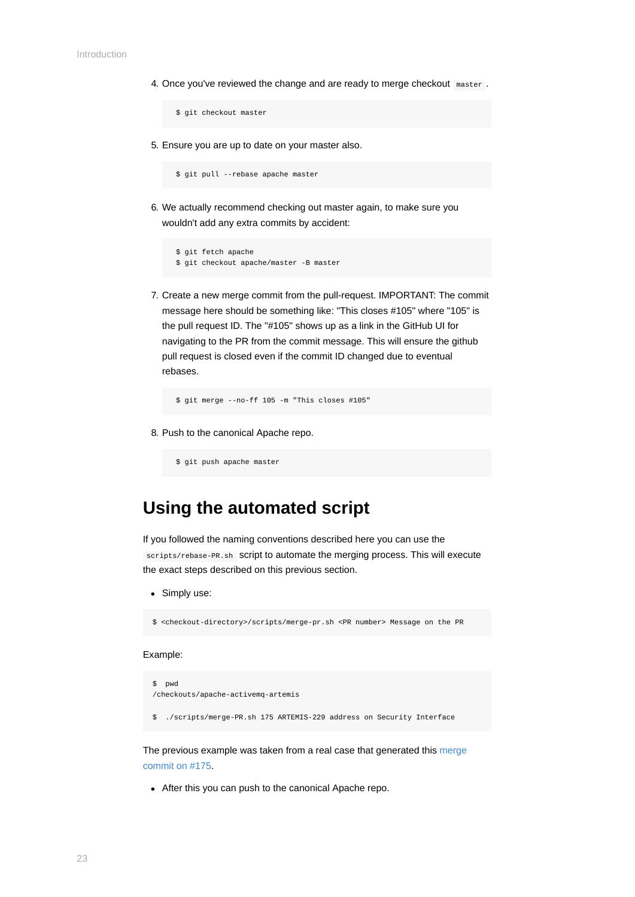4. Once you've reviewed the change and are ready to merge checkout master.

```
 $ git checkout master
```
5. Ensure you are up to date on your master also.

```
 $ git pull --rebase apache master
```
6. We actually recommend checking out master again, to make sure you wouldn't add any extra commits by accident:

```
 $ git fetch apache
 $ git checkout apache/master -B master
```
7. Create a new merge commit from the pull-request. IMPORTANT: The commit message here should be something like: "This closes #105" where "105" is the pull request ID. The "#105" shows up as a link in the GitHub UI for navigating to the PR from the commit message. This will ensure the github pull request is closed even if the commit ID changed due to eventual rebases.

```
 $ git merge --no-ff 105 -m "This closes #105"
```
8. Push to the canonical Apache repo.

```
 $ git push apache master
```
### **Using the automated script**

If you followed the naming conventions described here you can use the scripts/rebase-PR.sh Script to automate the merging process. This will execute the exact steps described on this previous section.

• Simply use:

```
$ <checkout-directory>/scripts/merge-pr.sh <PR number> Message on the PR
```
#### Example:

```
$ pwd
/checkouts/apache-activemq-artemis
$ ./scripts/merge-PR.sh 175 ARTEMIS-229 address on Security Interface
```
[The previous example was taken from a real case that generated this merge](https://github.com/apache/activemq-artemis/commit/e85bb3ca4a75b0f1dfbe717ff90b34309e2de794) commit on #175.

After this you can push to the canonical Apache repo.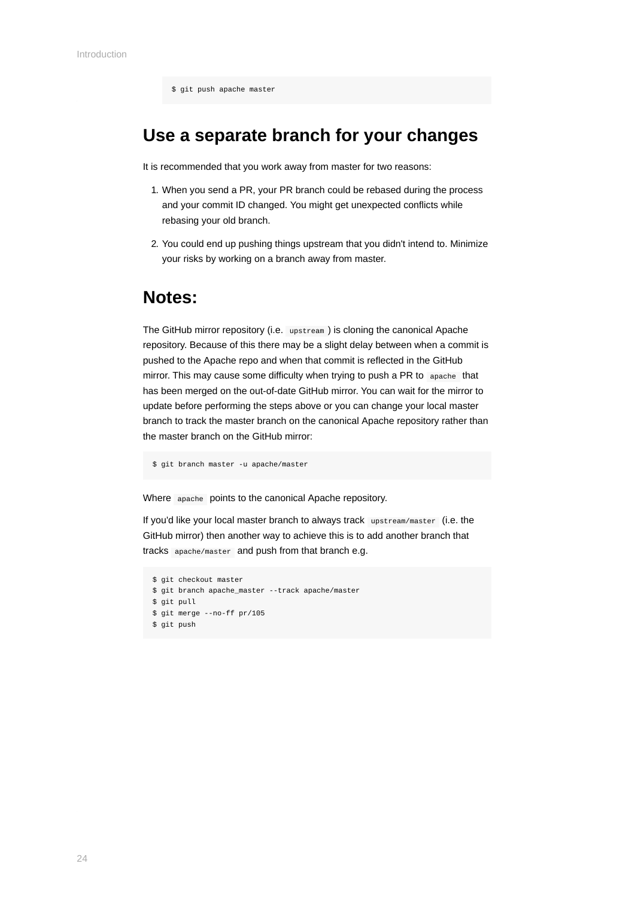### **Use a separate branch for your changes**

It is recommended that you work away from master for two reasons:

- 1. When you send a PR, your PR branch could be rebased during the process and your commit ID changed. You might get unexpected conflicts while rebasing your old branch.
- 2. You could end up pushing things upstream that you didn't intend to. Minimize your risks by working on a branch away from master.

#### **Notes:**

The GitHub mirror repository (i.e. upstream ) is cloning the canonical Apache repository. Because of this there may be a slight delay between when a commit is pushed to the Apache repo and when that commit is reflected in the GitHub mirror. This may cause some difficulty when trying to push a PR to apache that has been merged on the out-of-date GitHub mirror. You can wait for the mirror to update before performing the steps above or you can change your local master branch to track the master branch on the canonical Apache repository rather than the master branch on the GitHub mirror:

```
$ git branch master -u apache/master
```
Where apache points to the canonical Apache repository.

If you'd like your local master branch to always track upstream/master (i.e. the GitHub mirror) then another way to achieve this is to add another branch that tracks apache/master and push from that branch e.g.

```
$ git checkout master
$ git branch apache_master --track apache/master
$ git pull
$ git merge --no-ff pr/105
$ git push
```